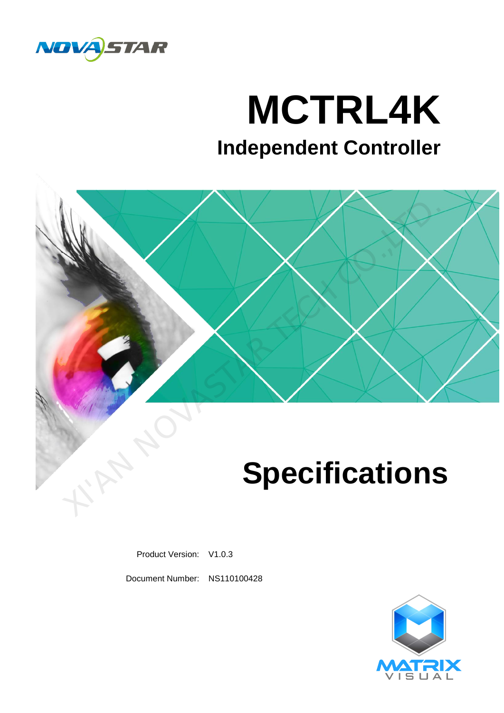

# **MCTRL4K**

# **Independent Controller**



Product Version: V1.0.3

Document Number: NS110100428

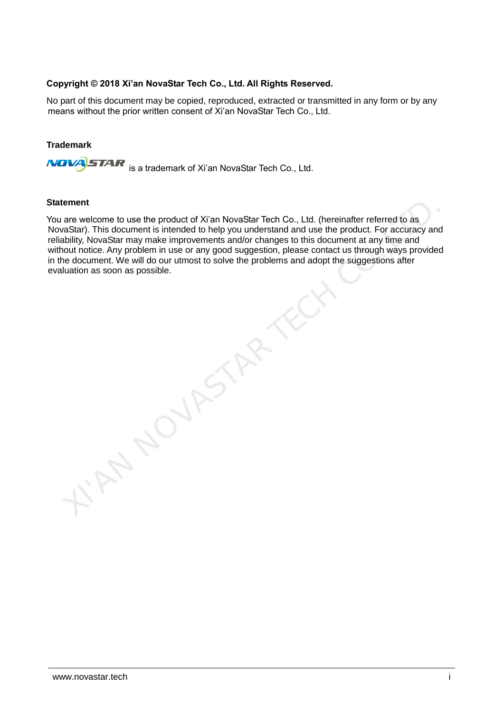### **Copyright © 2018 Xi'an NovaStar Tech Co., Ltd. All Rights Reserved.**

No part of this document may be copied, reproduced, extracted or transmitted in any form or by any means without the prior written consent of Xi'an NovaStar Tech Co., Ltd.

#### **Trademark**

**NOVA**STAR is a trademark of Xi'an NovaStar Tech Co., Ltd.

**NOVASTARY** 

#### **Statement**

You are welcome to use the product of Xi'an NovaStar Tech Co., Ltd. (hereinafter referred to as NovaStar). This document is intended to help you understand and use the product. For accuracy and reliability, NovaStar may make improvements and/or changes to this document at any time and without notice. Any problem in use or any good suggestion, please contact us through ways provided in the document. We will do our utmost to solve the problems and adopt the suggestions after evaluation as soon as possible.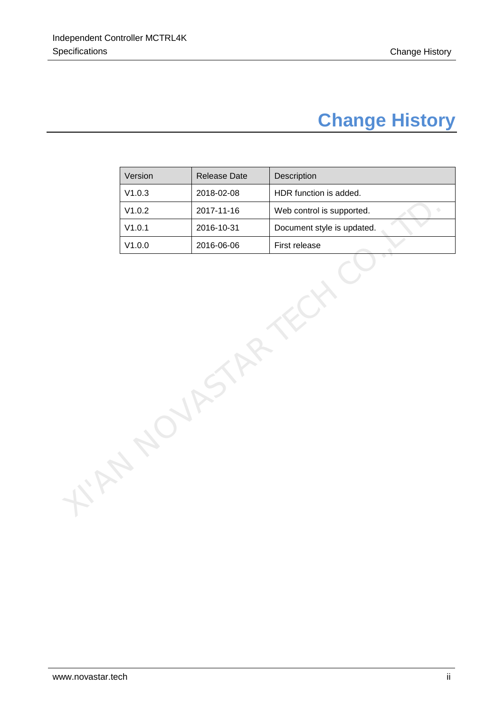# **Change History**

<span id="page-2-0"></span>

|  | Version | Release Date | Description                |  |
|--|---------|--------------|----------------------------|--|
|  | V1.0.3  | 2018-02-08   | HDR function is added.     |  |
|  | V1.0.2  | 2017-11-16   | Web control is supported.  |  |
|  | V1.0.1  | 2016-10-31   | Document style is updated. |  |
|  | V1.0.0  | 2016-06-06   | First release              |  |
|  |         |              |                            |  |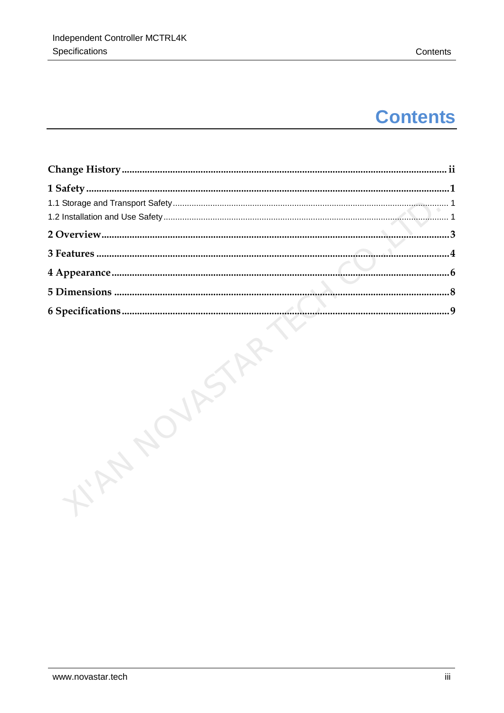# **Contents**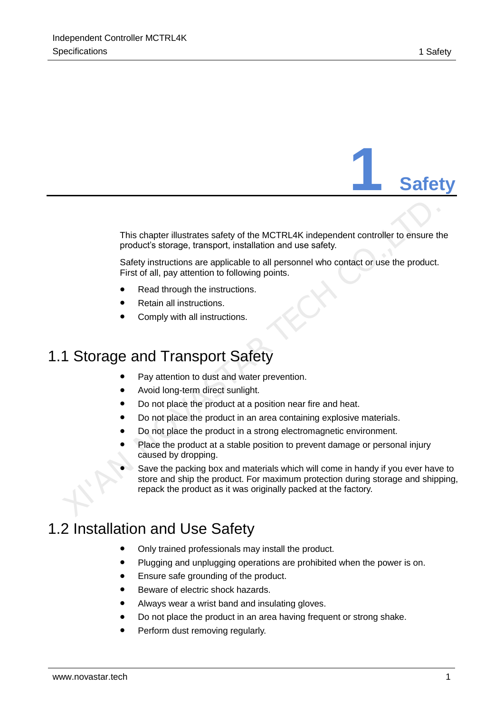**1 Safety**

This chapter illustrates safety of the MCTRL4K independent controller to ensure the product's storage, transport, installation and use safety.

Safety instructions are applicable to all personnel who contact or use the product. First of all, pay attention to following points.

- Read through the instructions.
- Retain all instructions.
- Comply with all instructions.

# <span id="page-4-1"></span>1.1 Storage and Transport Safety

- Pay attention to dust and water prevention.
- Avoid long-term direct sunlight.
- Do not place the product at a position near fire and heat.
- Do not place the product in an area containing explosive materials.
- Do not place the product in a strong electromagnetic environment.
- Place the product at a stable position to prevent damage or personal injury caused by dropping.
- <span id="page-4-0"></span> Save the packing box and materials which will come in handy if you ever have to store and ship the product. For maximum protection during storage and shipping, repack the product as it was originally packed at the factory. This chapter illustrates safety of the MCTRL4K independent controller to ensure the product's storage, transport, installation and use safety.<br>
Safety instructions are applicable to all personnel who contact or use the pro

# <span id="page-4-2"></span>1.2 Installation and Use Safety

- Only trained professionals may install the product.
- Plugging and unplugging operations are prohibited when the power is on.
- Ensure safe grounding of the product.
- Beware of electric shock hazards.
- Always wear a wrist band and insulating gloves.
- Do not place the product in an area having frequent or strong shake.
- Perform dust removing regularly.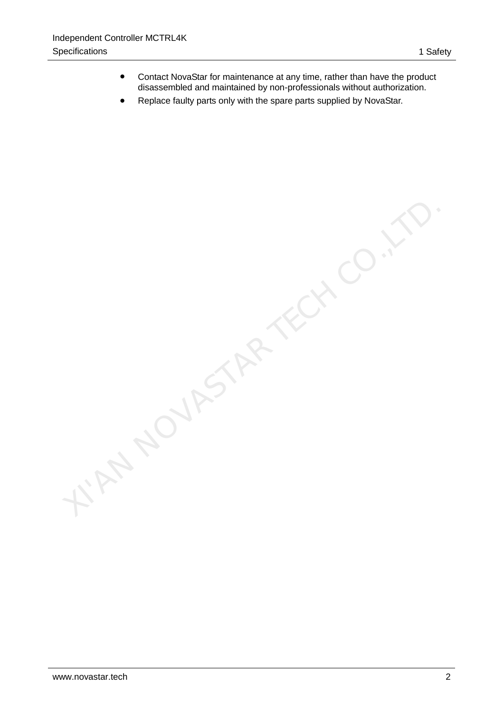- Contact NovaStar for maintenance at any time, rather than have the product disassembled and maintained by non-professionals without authorization.
- Replace faulty parts only with the spare parts supplied by NovaStar.

Y. AN NOVASTAR TECH CO.,L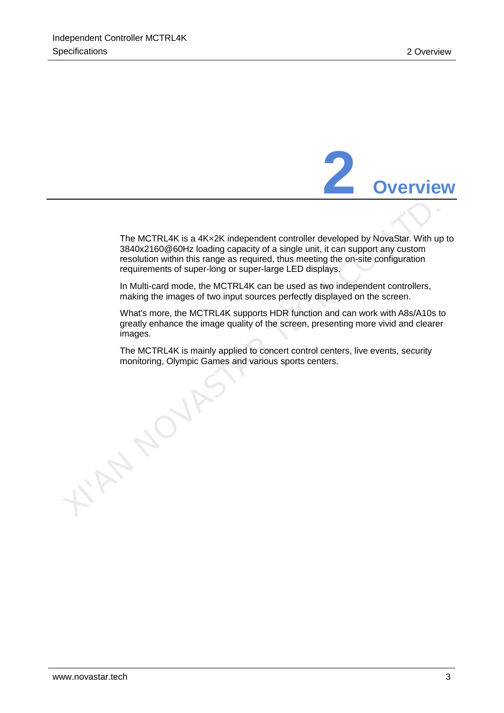

<span id="page-6-0"></span>The MCTRL4K is a 4K×2K independent controller developed by NovaStar. With up to 3840x2160@60Hz loading capacity of a single unit, it can support any custom resolution within this range as required, thus meeting the on-site configuration requirements of super-long or super-large LED displays.

In Multi-card mode, the MCTRL4K can be used as two independent controllers, making the images of two input sources perfectly displayed on the screen.

What's more, the MCTRL4K supports HDR function and can work with A8s/A10s to greatly enhance the image quality of the screen, presenting more vivid and clearer images.

The MCTRL4K is mainly applied to concert control centers, live events, security monitoring, Olympic Games and various sports centers.

**XIVASTAR**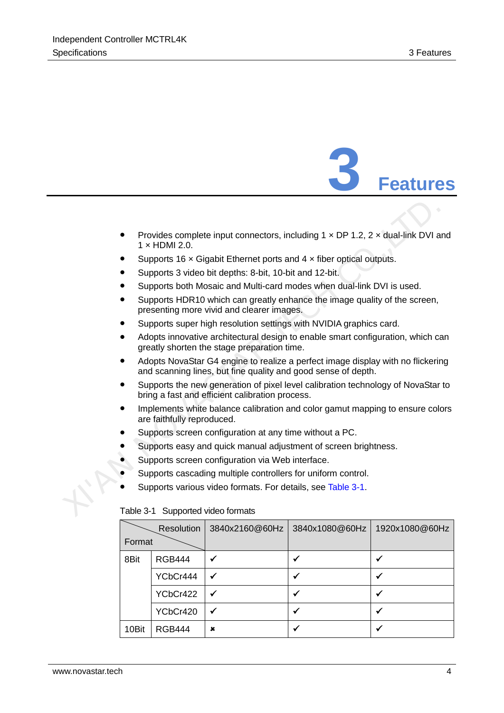

- <span id="page-7-0"></span>Provides complete input connectors, including  $1 \times DP$  1.2,  $2 \times$  dual-link DVI and  $1 \times$  HDMI 2.0. Frovides complete input connectors, including 1 × DP 1.2, 2 × dual-link DVI a<br>
1 × HDMI 2.0.<br>
■ Supports 16 × Gigabit Ethernet ports and 4 × fiber optical outputs.<br>
■ Supports 3 video bit depths: 8-bit, 10-bit and 12-bit
	- Supports 16  $\times$  Gigabit Ethernet ports and 4  $\times$  fiber optical outputs.
	- Supports 3 video bit depths: 8-bit, 10-bit and 12-bit.
	- Supports both Mosaic and Multi-card modes when dual-link DVI is used.
	- Supports HDR10 which can greatly enhance the image quality of the screen, presenting more vivid and clearer images.
	- Supports super high resolution settings with NVIDIA graphics card.
	- Adopts innovative architectural design to enable smart configuration, which can greatly shorten the stage preparation time.
	- Adopts NovaStar G4 engine to realize a perfect image display with no flickering and scanning lines, but fine quality and good sense of depth.
	- Supports the new generation of pixel level calibration technology of NovaStar to bring a fast and efficient calibration process.
	- Implements white balance calibration and color gamut mapping to ensure colors are faithfully reproduced.
	- Supports screen configuration at any time without a PC.
	- Supports easy and quick manual adjustment of screen brightness.
	- Supports screen configuration via Web interface.
	- Supports cascading multiple controllers for uniform control.
	- Supports various video formats. For details, see Table 3-1.

|        | Resolution    | 3840x2160@60Hz | 3840x1080@60Hz | 1920x1080@60Hz |
|--------|---------------|----------------|----------------|----------------|
| Format |               |                |                |                |
| 8Bit   | <b>RGB444</b> |                |                |                |
|        | YCbCr444      |                |                |                |
|        | YCbCr422      |                |                |                |
|        | YCbCr420      |                |                |                |
| 10Bit  | <b>RGB444</b> | ×              |                |                |

#### <span id="page-7-1"></span>Table 3-1 Supported video formats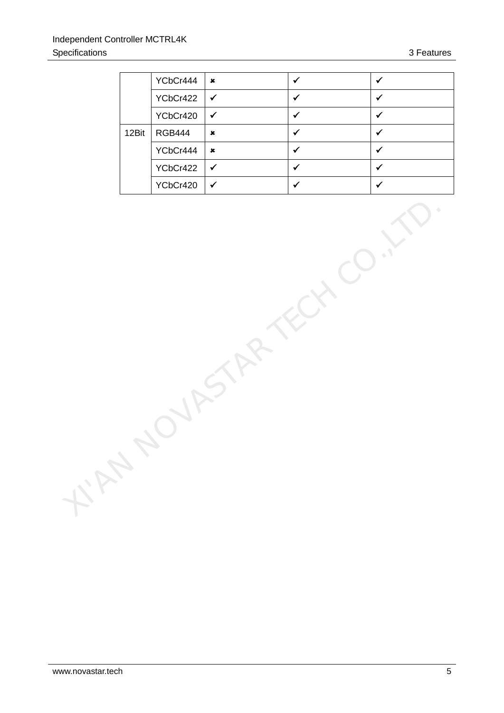|       | YCbCr444      | $\pmb{x}$   | w  |  |
|-------|---------------|-------------|----|--|
|       | YCbCr422      | ✔           | ×. |  |
|       | YCbCr420      |             |    |  |
| 12Bit | <b>RGB444</b> | $\mathbf x$ | w  |  |
|       | YCbCr444      | $\mathbf x$ |    |  |
|       | YCbCr422      | ✔           |    |  |
|       | YCbCr420      |             |    |  |

KIAN NOVASTAR TECH CO.,LTD.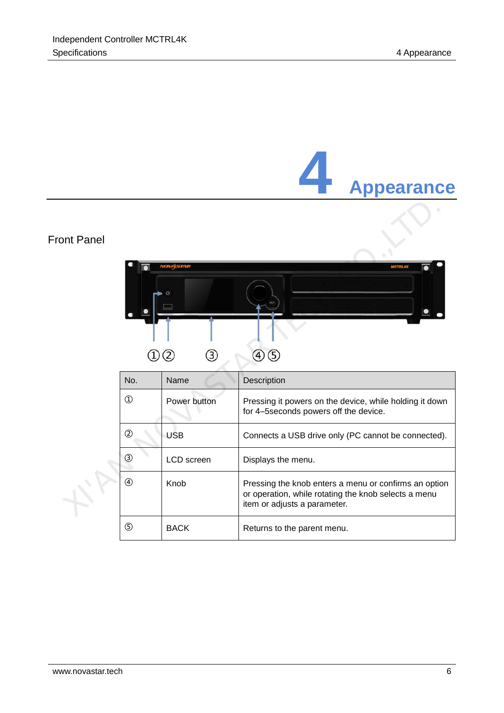<span id="page-9-0"></span>

|                    |                   |              | <b>Appearance</b>                                                                                                                             |
|--------------------|-------------------|--------------|-----------------------------------------------------------------------------------------------------------------------------------------------|
| <b>Front Panel</b> |                   |              | <b>MCTRL43</b>                                                                                                                                |
|                    | $\left( 1\right)$ | 3<br>(2)     | 40 G                                                                                                                                          |
|                    | No.               | Name         | Description                                                                                                                                   |
|                    | $\bigcirc$        | Power button | Pressing it powers on the device, while holding it down<br>for 4-5 seconds powers off the device.                                             |
|                    | $\circledS$       | <b>USB</b>   | Connects a USB drive only (PC cannot be connected).                                                                                           |
|                    | ③                 | LCD screen   | Displays the menu.                                                                                                                            |
|                    | $\circled{4}$     | Knob         | Pressing the knob enters a menu or confirms an option<br>or operation, while rotating the knob selects a menu<br>item or adjusts a parameter. |
|                    | $\circledS$       | <b>BACK</b>  | Returns to the parent menu.                                                                                                                   |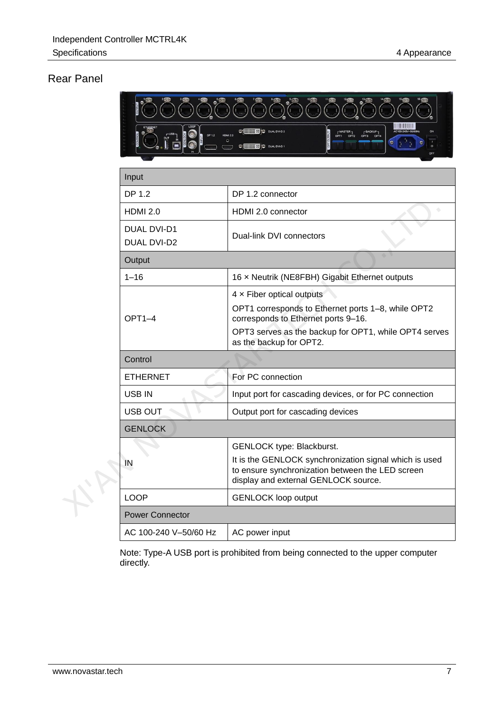## Rear Panel

|  | <b>The Common</b>          |                                                                                                                                                                                                            |  |  |  |
|--|----------------------------|------------------------------------------------------------------------------------------------------------------------------------------------------------------------------------------------------------|--|--|--|
|  |                            | C'EHIHES O DUAL DV1-D :<br>F <sup>MASTER</sup> F <sup>BACKUP</sup> T<br>CHILIDED DUAL DVI-D 1                                                                                                              |  |  |  |
|  | Input                      |                                                                                                                                                                                                            |  |  |  |
|  | DP 1.2                     | DP 1.2 connector                                                                                                                                                                                           |  |  |  |
|  | <b>HDMI 2.0</b>            | HDMI 2.0 connector                                                                                                                                                                                         |  |  |  |
|  | DUAL DVI-D1<br>DUAL DVI-D2 | Dual-link DVI connectors                                                                                                                                                                                   |  |  |  |
|  | Output                     |                                                                                                                                                                                                            |  |  |  |
|  | $1 - 16$                   | 16 x Neutrik (NE8FBH) Gigabit Ethernet outputs                                                                                                                                                             |  |  |  |
|  | $OPT1-4$                   | 4 x Fiber optical outputs<br>OPT1 corresponds to Ethernet ports 1-8, while OPT2<br>corresponds to Ethernet ports 9-16.<br>OPT3 serves as the backup for OPT1, while OPT4 serves<br>as the backup for OPT2. |  |  |  |
|  | Control                    |                                                                                                                                                                                                            |  |  |  |
|  | <b>ETHERNET</b>            | For PC connection                                                                                                                                                                                          |  |  |  |
|  | USB IN                     | Input port for cascading devices, or for PC connection                                                                                                                                                     |  |  |  |
|  | USB OUT                    | Output port for cascading devices                                                                                                                                                                          |  |  |  |
|  | <b>GENLOCK</b>             |                                                                                                                                                                                                            |  |  |  |
|  | IN                         | GENLOCK type: Blackburst.<br>It is the GENLOCK synchronization signal which is used<br>to ensure synchronization between the LED screen<br>display and external GENLOCK source.                            |  |  |  |
|  | <b>LOOP</b>                | <b>GENLOCK loop output</b>                                                                                                                                                                                 |  |  |  |
|  | <b>Power Connector</b>     |                                                                                                                                                                                                            |  |  |  |
|  | AC 100-240 V-50/60 Hz      | AC power input                                                                                                                                                                                             |  |  |  |

Note: Type-A USB port is prohibited from being connected to the upper computer directly.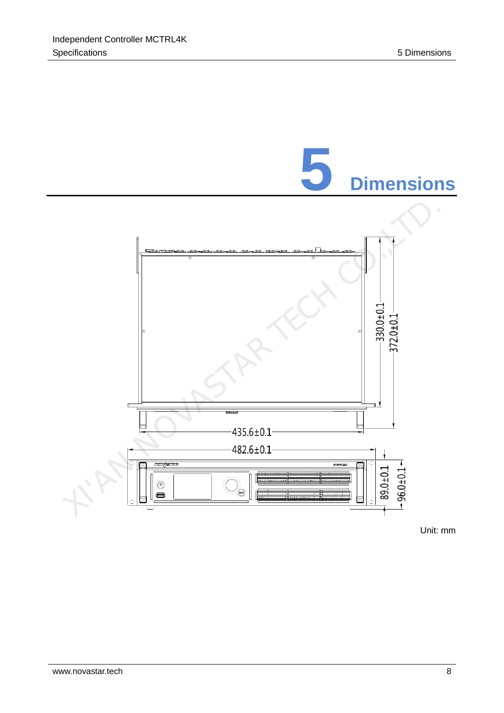<span id="page-11-0"></span>

Unit: mm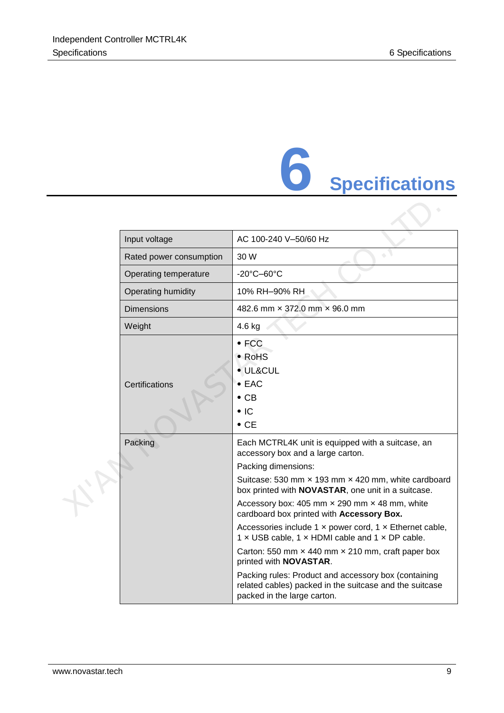# **6 Specifications**

<span id="page-12-0"></span>

|  | Input voltage             | AC 100-240 V-50/60 Hz                                                                                                                                                                                                                                                                                                                                                                                                                                                                                                                                                                                                                                                                                 |
|--|---------------------------|-------------------------------------------------------------------------------------------------------------------------------------------------------------------------------------------------------------------------------------------------------------------------------------------------------------------------------------------------------------------------------------------------------------------------------------------------------------------------------------------------------------------------------------------------------------------------------------------------------------------------------------------------------------------------------------------------------|
|  | Rated power consumption   | 30 W                                                                                                                                                                                                                                                                                                                                                                                                                                                                                                                                                                                                                                                                                                  |
|  | Operating temperature     | $-20^{\circ}$ C $-60^{\circ}$ C                                                                                                                                                                                                                                                                                                                                                                                                                                                                                                                                                                                                                                                                       |
|  | <b>Operating humidity</b> | 10% RH-90% RH                                                                                                                                                                                                                                                                                                                                                                                                                                                                                                                                                                                                                                                                                         |
|  | <b>Dimensions</b>         | 482.6 mm $\times$ 372.0 mm $\times$ 96.0 mm                                                                                                                                                                                                                                                                                                                                                                                                                                                                                                                                                                                                                                                           |
|  | Weight                    | 4.6 kg                                                                                                                                                                                                                                                                                                                                                                                                                                                                                                                                                                                                                                                                                                |
|  | Certifications            | $\bullet$ FCC<br>• RoHS<br>· UL&CUL<br>$\bullet$ EAC<br>$\bullet$ CB<br>$\bullet$ IC<br>$\bullet$ CE                                                                                                                                                                                                                                                                                                                                                                                                                                                                                                                                                                                                  |
|  | Packing                   | Each MCTRL4K unit is equipped with a suitcase, an<br>accessory box and a large carton.<br>Packing dimensions:<br>Suitcase: 530 mm x 193 mm x 420 mm, white cardboard<br>box printed with <b>NOVASTAR</b> , one unit in a suitcase.<br>Accessory box: 405 mm $\times$ 290 mm $\times$ 48 mm, white<br>cardboard box printed with Accessory Box.<br>Accessories include 1 x power cord, 1 x Ethernet cable,<br>1 x USB cable, 1 x HDMI cable and 1 x DP cable.<br>Carton: 550 mm x 440 mm x 210 mm, craft paper box<br>printed with <b>NOVASTAR</b> .<br>Packing rules: Product and accessory box (containing<br>related cables) packed in the suitcase and the suitcase<br>packed in the large carton. |